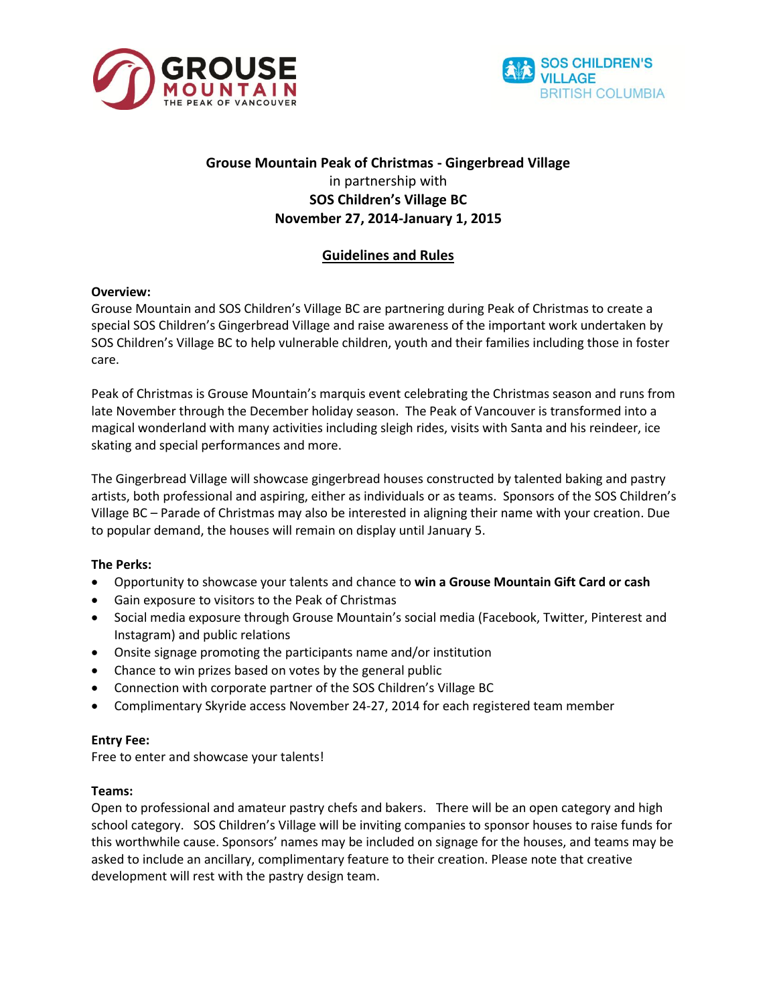



# **Grouse Mountain Peak of Christmas - Gingerbread Village** in partnership with **SOS Children's Village BC November 27, 2014-January 1, 2015**

# **Guidelines and Rules**

## **Overview:**

Grouse Mountain and SOS Children's Village BC are partnering during Peak of Christmas to create a special SOS Children's Gingerbread Village and raise awareness of the important work undertaken by SOS Children's Village BC to help vulnerable children, youth and their families including those in foster care.

Peak of Christmas is Grouse Mountain's marquis event celebrating the Christmas season and runs from late November through the December holiday season. The Peak of Vancouver is transformed into a magical wonderland with many activities including sleigh rides, visits with Santa and his reindeer, ice skating and special performances and more.

The Gingerbread Village will showcase gingerbread houses constructed by talented baking and pastry artists, both professional and aspiring, either as individuals or as teams. Sponsors of the SOS Children's Village BC – Parade of Christmas may also be interested in aligning their name with your creation. Due to popular demand, the houses will remain on display until January 5.

## **The Perks:**

- Opportunity to showcase your talents and chance to **win a Grouse Mountain Gift Card or cash**
- Gain exposure to visitors to the Peak of Christmas
- Social media exposure through Grouse Mountain's social media (Facebook, Twitter, Pinterest and Instagram) and public relations
- Onsite signage promoting the participants name and/or institution
- Chance to win prizes based on votes by the general public
- Connection with corporate partner of the SOS Children's Village BC
- Complimentary Skyride access November 24-27, 2014 for each registered team member

## **Entry Fee:**

Free to enter and showcase your talents!

## **Teams:**

Open to professional and amateur pastry chefs and bakers. There will be an open category and high school category. SOS Children's Village will be inviting companies to sponsor houses to raise funds for this worthwhile cause. Sponsors' names may be included on signage for the houses, and teams may be asked to include an ancillary, complimentary feature to their creation. Please note that creative development will rest with the pastry design team.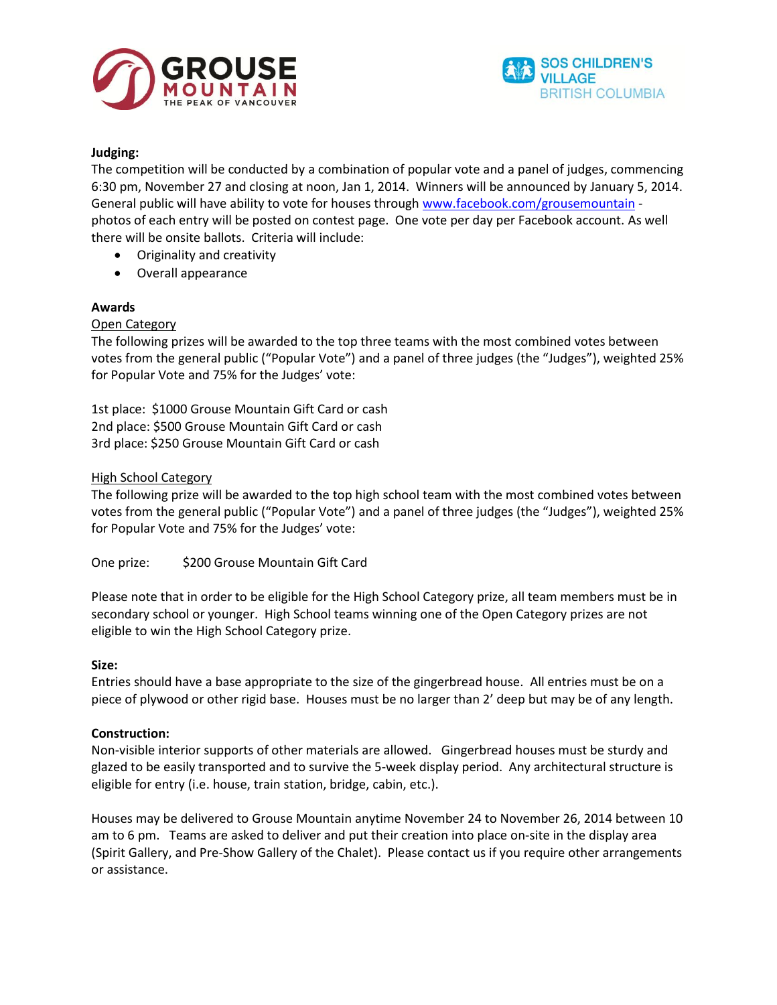



### **Judging:**

The competition will be conducted by a combination of popular vote and a panel of judges, commencing 6:30 pm, November 27 and closing at noon, Jan 1, 2014. Winners will be announced by January 5, 2014. General public will have ability to vote for houses through [www.facebook.com/grousemountain](http://www.facebook.com/grousemountain) photos of each entry will be posted on contest page. One vote per day per Facebook account. As well there will be onsite ballots. Criteria will include:

- Originality and creativity
- Overall appearance

## **Awards**

#### Open Category

The following prizes will be awarded to the top three teams with the most combined votes between votes from the general public ("Popular Vote") and a panel of three judges (the "Judges"), weighted 25% for Popular Vote and 75% for the Judges' vote:

1st place: \$1000 Grouse Mountain Gift Card or cash 2nd place: \$500 Grouse Mountain Gift Card or cash 3rd place: \$250 Grouse Mountain Gift Card or cash

#### High School Category

The following prize will be awarded to the top high school team with the most combined votes between votes from the general public ("Popular Vote") and a panel of three judges (the "Judges"), weighted 25% for Popular Vote and 75% for the Judges' vote:

One prize: \$200 Grouse Mountain Gift Card

Please note that in order to be eligible for the High School Category prize, all team members must be in secondary school or younger. High School teams winning one of the Open Category prizes are not eligible to win the High School Category prize.

#### **Size:**

Entries should have a base appropriate to the size of the gingerbread house. All entries must be on a piece of plywood or other rigid base. Houses must be no larger than 2' deep but may be of any length.

## **Construction:**

Non-visible interior supports of other materials are allowed. Gingerbread houses must be sturdy and glazed to be easily transported and to survive the 5-week display period. Any architectural structure is eligible for entry (i.e. house, train station, bridge, cabin, etc.).

Houses may be delivered to Grouse Mountain anytime November 24 to November 26, 2014 between 10 am to 6 pm. Teams are asked to deliver and put their creation into place on-site in the display area (Spirit Gallery, and Pre-Show Gallery of the Chalet). Please contact us if you require other arrangements or assistance.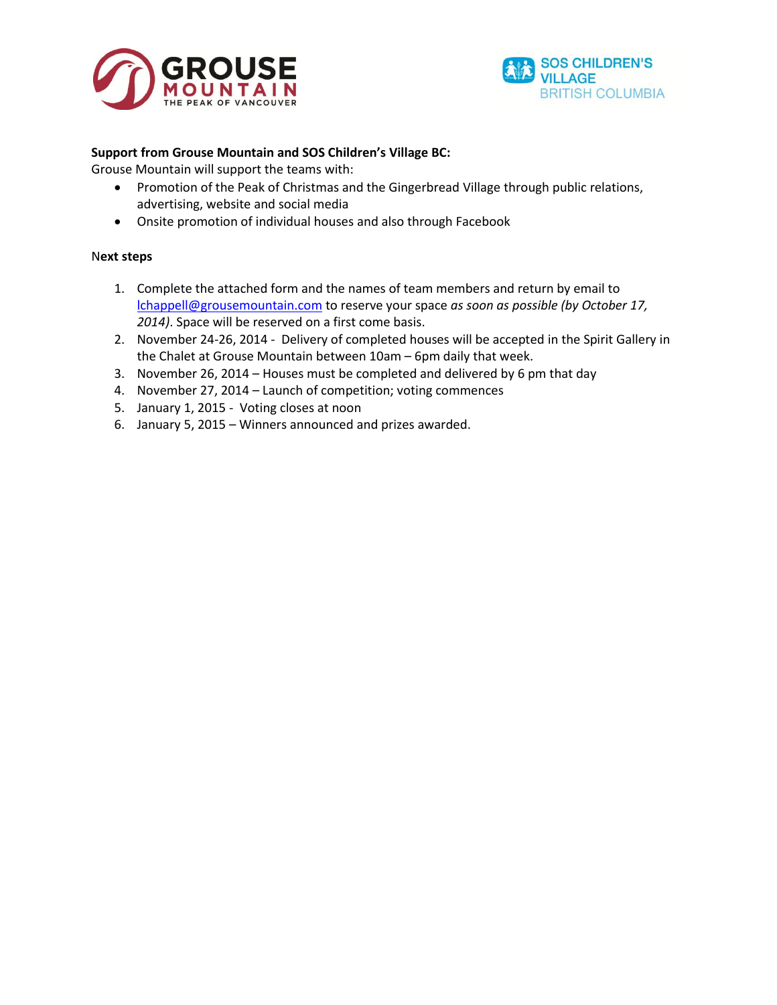



### **Support from Grouse Mountain and SOS Children's Village BC:**

Grouse Mountain will support the teams with:

- Promotion of the Peak of Christmas and the Gingerbread Village through public relations, advertising, website and social media
- Onsite promotion of individual houses and also through Facebook

#### N**ext steps**

- 1. Complete the attached form and the names of team members and return by email to [lchappell@grousemountain.com](mailto:lchappell@grousemountain.com) to reserve your space *as soon as possible (by October 17, 2014)*. Space will be reserved on a first come basis.
- 2. November 24-26, 2014 Delivery of completed houses will be accepted in the Spirit Gallery in the Chalet at Grouse Mountain between 10am – 6pm daily that week.
- 3. November 26, 2014 Houses must be completed and delivered by 6 pm that day
- 4. November 27, 2014 Launch of competition; voting commences
- 5. January 1, 2015 Voting closes at noon
- 6. January 5, 2015 Winners announced and prizes awarded.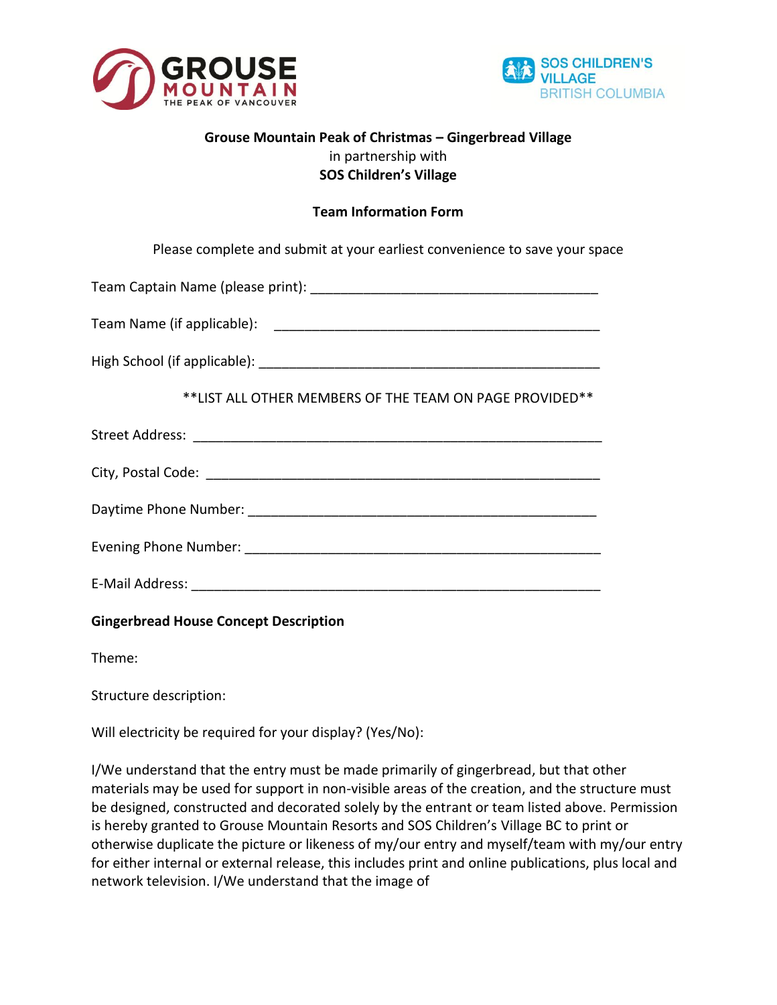



## **Grouse Mountain Peak of Christmas – Gingerbread Village** in partnership with **SOS Children's Village**

## **Team Information Form**

Please complete and submit at your earliest convenience to save your space

Team Captain Name (please print): \_\_\_\_\_\_\_\_\_\_\_\_\_\_\_\_\_\_\_\_\_\_\_\_\_\_\_\_\_\_\_\_\_\_\_\_\_\_

Team Name (if applicable): \_\_\_\_\_\_\_\_\_\_\_\_\_\_\_\_\_\_\_\_\_\_\_\_\_\_\_\_\_\_\_\_\_\_\_\_\_\_\_\_\_\_\_

High School (if applicable): **We have also contained a set of a set of a set of a set of a set of a set of a set of a set of a set of a set of a set of a set of a set of a set of a set of a set of a set of a set of a set o** 

\*\*LIST ALL OTHER MEMBERS OF THE TEAM ON PAGE PROVIDED\*\*

| <b>Street Address:</b> |  |  |  |
|------------------------|--|--|--|
|                        |  |  |  |
| City, Postal Code:     |  |  |  |
|                        |  |  |  |
|                        |  |  |  |

Daytime Phone Number: \_\_\_\_\_\_\_\_\_\_\_\_\_\_\_\_\_\_\_\_\_\_\_\_\_\_\_\_\_\_\_\_\_\_\_\_\_\_\_\_\_\_\_\_\_\_

Evening Phone Number: \_\_\_\_\_\_\_\_\_\_\_\_\_\_\_\_\_\_\_\_\_\_\_\_\_\_\_\_\_\_\_\_\_\_\_\_\_\_\_\_\_\_\_\_\_\_\_

E-Mail Address: **E-Mail Address:** 

**Gingerbread House Concept Description**

Theme:

Structure description:

Will electricity be required for your display? (Yes/No):

I/We understand that the entry must be made primarily of gingerbread, but that other materials may be used for support in non-visible areas of the creation, and the structure must be designed, constructed and decorated solely by the entrant or team listed above. Permission is hereby granted to Grouse Mountain Resorts and SOS Children's Village BC to print or otherwise duplicate the picture or likeness of my/our entry and myself/team with my/our entry for either internal or external release, this includes print and online publications, plus local and network television. I/We understand that the image of